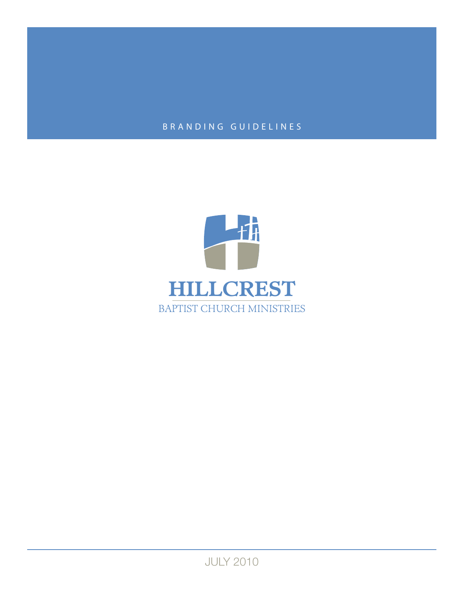# BRANDING GUIDELINES



JULY 2010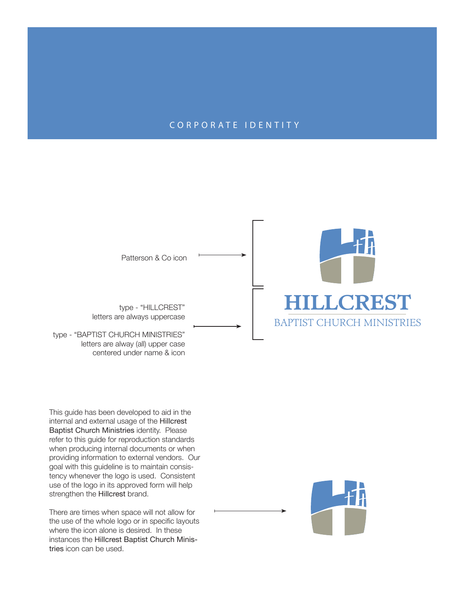### CORPORATE IDENTITY



This guide has been developed to aid in the internal and external usage of the Hillcrest Baptist Church Ministries identity. Please refer to this guide for reproduction standards when producing internal documents or when providing information to external vendors. Our goal with this guideline is to maintain consistency whenever the logo is used. Consistent use of the logo in its approved form will help strengthen the Hillcrest brand.

There are times when space will not allow for the use of the whole logo or in specific layouts where the icon alone is desired. In these instances the Hillcrest Baptist Church Ministries icon can be used.

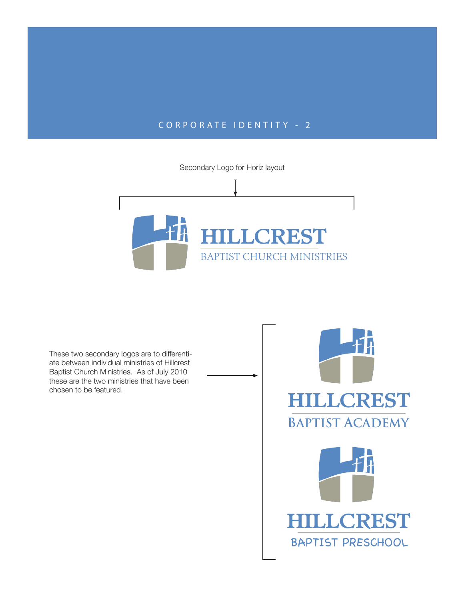## CORPORATE IDENTITY - 2

Secondary Logo for Horiz layout Ŧ **HILLCREST** BAPTIST CHURCH MINISTRIES

These two secondary logos are to differentiate between individual ministries of Hillcrest Baptist Church Ministries. As of July 2010 these are the two ministries that have been chosen to be featured.

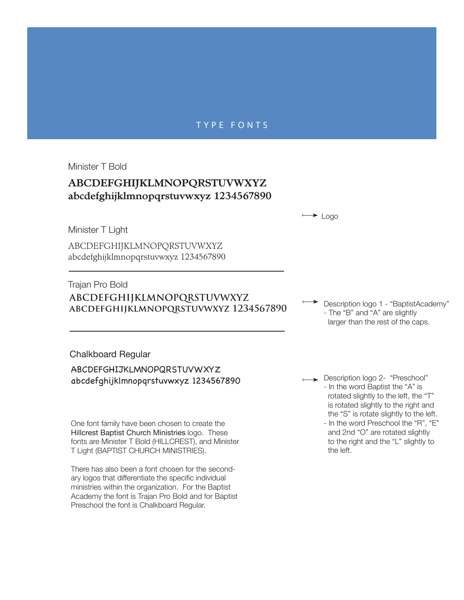#### TYPE FONTS

Minister T Bold

## **ABCDEFGHIJKLMNOPQRSTUVWXYZ abcdefghijklmnopqrstuvwxyz 1234567890**

 $\rightarrow$  Logo

Minister T Light

ABCDEFGHIJKLMNOPQRSTUVWXYZ abcdefghijklmnopqrstuvwxyz 1234567890

## **ABCDEFGHIJKLMNOPQRSTUVWXYZ abcdefghijklmnopqrstuvwxyz 1234567890** Trajan Pro Bold

Description logo 1 - "BaptistAcademy" - The "B" and "A" are slightly larger than the rest of the caps.

Chalkboard Regular

ABCDEFGHIJKLMNOPQRSTUVWXYZ abcdefghijklmnopqrstuvwxyz 1234567890

One font family have been chosen to create the Hillcrest Baptist Church Ministries logo. These fonts are Minister T Bold (HILLCREST), and Minister T Light (BAPTIST CHURCH MINISTRIES).

There has also been a font chosen for the secondary logos that differentiate the specific individual ministries within the organization. For the Baptist Academy the font is Trajan Pro Bold and for Baptist Preschool the font is Chalkboard Regular.

Description logo 2- "Preschool" - In the word Baptist the "A" is rotated slightly to the left, the "T" is rotated slightly to the right and the "S" is rotate slightly to the left. - In the word Preschool the "R", "E" and 2nd "O" are rotated slightly to the right and the "L" slightly to

the left.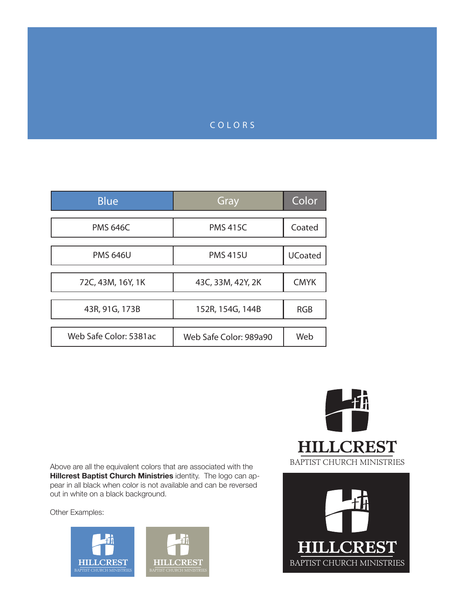### COLORS

| <b>Blue</b>            | Gray                   | Color          |
|------------------------|------------------------|----------------|
| <b>PMS 646C</b>        | <b>PMS 415C</b>        | Coated         |
| <b>PMS 646U</b>        | <b>PMS 415U</b>        | <b>UCoated</b> |
| 72C, 43M, 16Y, 1K      | 43C, 33M, 42Y, 2K      | <b>CMYK</b>    |
| 43R, 91G, 173B         | 152R, 154G, 144B       | <b>RGB</b>     |
| Web Safe Color: 5381ac | Web Safe Color: 989a90 | Web            |

Above are all the equivalent colors that are associated with the **Hillcrest Baptist Church Ministries** identity. The logo can appear in all black when color is not available and can be reversed out in white on a black background.

> **HILLCREST** BAPTIST CHURCH MINISTRIES

Other Examples:



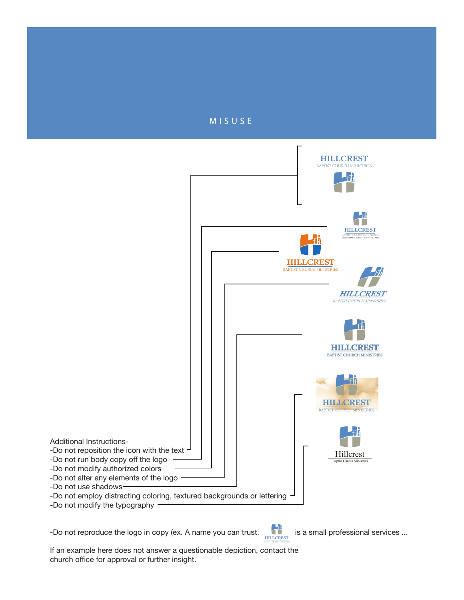



-Do not reproduce the logo in copy (ex. A name you can trust.  $\Box$  is a small professional services ...

**HILLCREST** 

If an example here does not answer a questionable depiction, contact the church office for approval or further insight.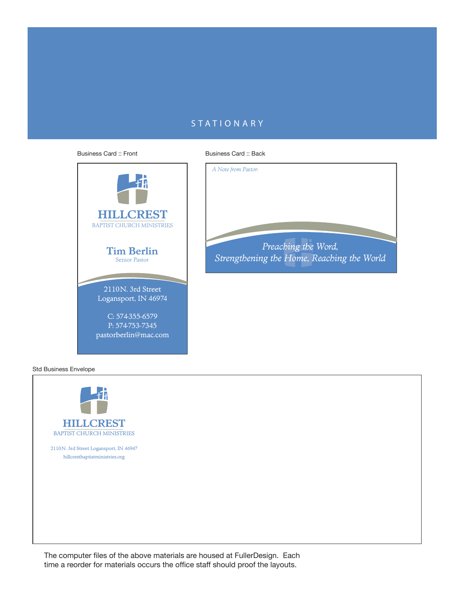## **STATIONARY**



Business Card :: Back



Std Business Envelope



The computer files of the above materials are housed at FullerDesign. Each time a reorder for materials occurs the office staff should proof the layouts.